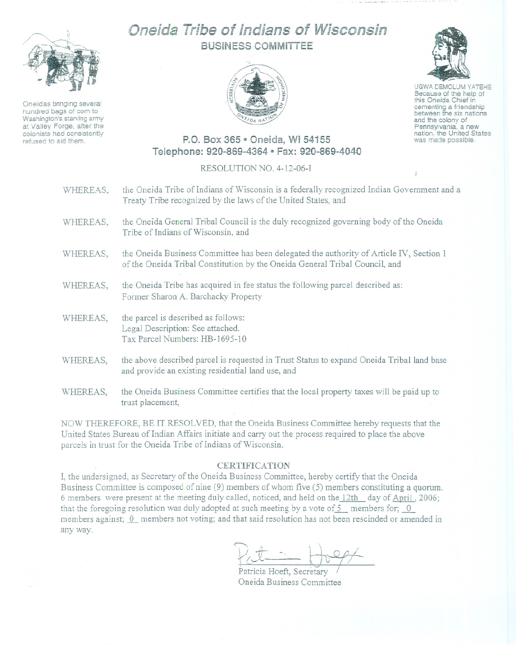

Oneidas bringing several hundred bags of corn to Washington's starving army at Valley Forge, after the colonists had consistently refused to aid them.

# Oneida Tribe of Indians of Wisconsin BUSINESS COMMITTEE





UGWA DEMOLUM YATEHE Because of the help of this Oneida Chief in cementing <sup>a</sup> friendship between the six nations and the colony of Pennsyivania, <sup>a</sup> new nation, the United States was made possible.

## P.O. Box 365 e Oneida, WI 54155 Telephone: 920-869-4364 ~Fax: 920-869-4040

#### RESOLUTION NO. 4-12-06-1

| WHEREAS, | the Oneida Tribe of Indians of Wisconsin is a federally recognized Indian Government and a<br>Treaty Tribe recognized by the laws of the United States, and            |
|----------|------------------------------------------------------------------------------------------------------------------------------------------------------------------------|
| WHEREAS, | the Oneida General Tribal Council is the duly recognized governing body of the Oneida<br>Tribe of Indians of Wisconsin, and                                            |
| WHEREAS, | the Oneida Business Committee has been delegated the authority of Article IV, Section 1<br>of the Oneida Tribal Constitution by the Oneida General Tribal Council, and |
| WHEREAS, | the Oneida Tribe has acquired in fee status the following parcel described as:<br>Former Sharon A. Barchacky Property                                                  |
| WHEREAS, | the parcel is described as follows:<br>Legal Description: See attached.<br>Tax Parcel Numbers: HB-1695-10                                                              |
| WHEREAS, | the above described parcel is requested in Trust Status to expand Oneida Tribal land base<br>and provide an existing residential land use, and                         |
| WHEREAS, | the Oneida Business Committee certifies that the local property taxes will be paid up to<br>trust placement,                                                           |

NOW THEREFORE, BE IT RESOLVED, that the Oneida Business Committee hereby requests that the United States Bureau of Indian Affairs initiate and carry out the process required to place the above parcels in trust for the Oneida Tribe of Indians of Wisconsin.

### **CERTIFICATION**

I, the undersigned, as Secretary of the Oneida Business Committee, hereby certify that the Oneida Business Committee is composed of nine (9) members of whom five (5) members constituting a quorum. 6 members were present at the meeting duly called, noticed, and held on the 12th day of April, 2006; that the foregoing resolution was duly adopted at such meeting by a vote of  $5$  members for;  $0$ members against; 0 members not voting; and that said resolution has not been rescinded or amended in any way.

 $\bigcap_{i=1}^{n} A_{i} = \bigcup_{i=1}^{n} A_{i} = \bigcup_{i=1}^{n} A_{i} = \bigcup_{i=1}^{n} A_{i} = \bigcup_{i=1}^{n} A_{i} = \bigcup_{i=1}^{n} A_{i} = \bigcup_{i=1}^{n} A_{i} = \bigcup_{i=1}^{n} A_{i} = \bigcup_{i=1}^{n} A_{i} = \bigcup_{i=1}^{n} A_{i} = \bigcup_{i=1}^{n} A_{i} = \bigcup_{i=1}^{n} A_{i} = \bigcup_{i=1}^{n} A_{i} = \bigcup_{i=1}^{n} A$  $\forall x \doteq \forall x \Leftrightarrow$  $\overline{I}$ 

Patricia Hoeft, Secretary Oneida Business Committee